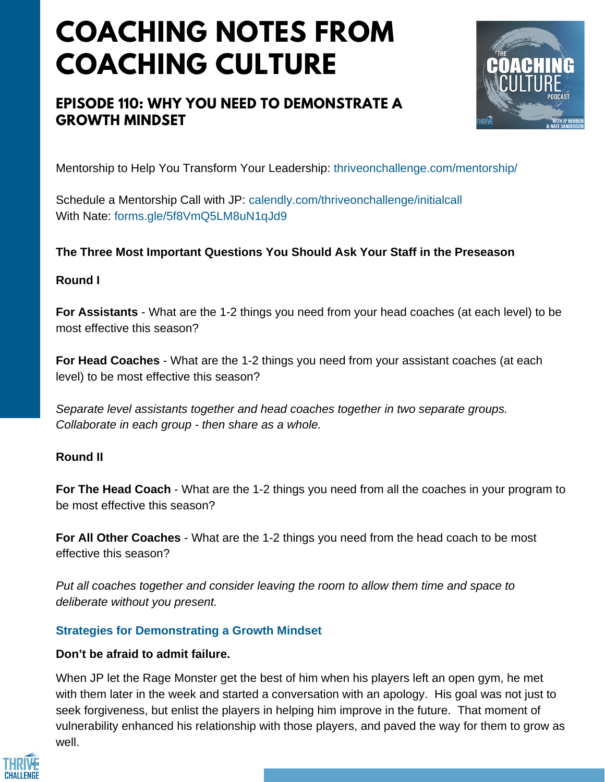# **COACHING NOTES FROM COACHING CULTURE**

# **EPISODE 110: WHY YOU NEED TO DEMONSTRATE A GROWTH MINDSET**



Mentorship to Help You Transform Your Leadership: thriveonchallenge.com/mentorship/

Schedule a Mentorship Call with JP: calendly.com/thriveonchallenge/initialcall With Nate: forms.gle/5f8VmO5LM8uN1qJd9

# **The Three Most Important Questions You Should Ask Your Staff in the Preseason**

### **Round I**

**For Assistants** - What are the 1-2 things you need from your head coaches (at each level) to be most effective this season?

**For Head Coaches** - What are the 1-2 things you need from your assistant coaches (at each level) to be most effective this season?

*Separate level assistants together and head coaches together in two separate groups. Collaborate in each group - then share as a whole.*

## **Round II**

**For The Head Coach** - What are the 1-2 things you need from all the coaches in your program to be most effective this season?

**For All Other Coaches** - What are the 1-2 things you need from the head coach to be most effective this season?

*Put all coaches together and consider leaving the room to allow them time and space to deliberate without you present.*

## **Strategies for Demonstrating a Growth Mindset**

# **Don't be afraid to admit failure.**

When JP let the Rage Monster get the best of him when his players left an open gym, he met with them later in the week and started a conversation with an apology. His goal was not just to seek forgiveness, but enlist the players in helping him improve in the future. That moment of vulnerability enhanced his relationship with those players, and paved the way for them to grow as well.